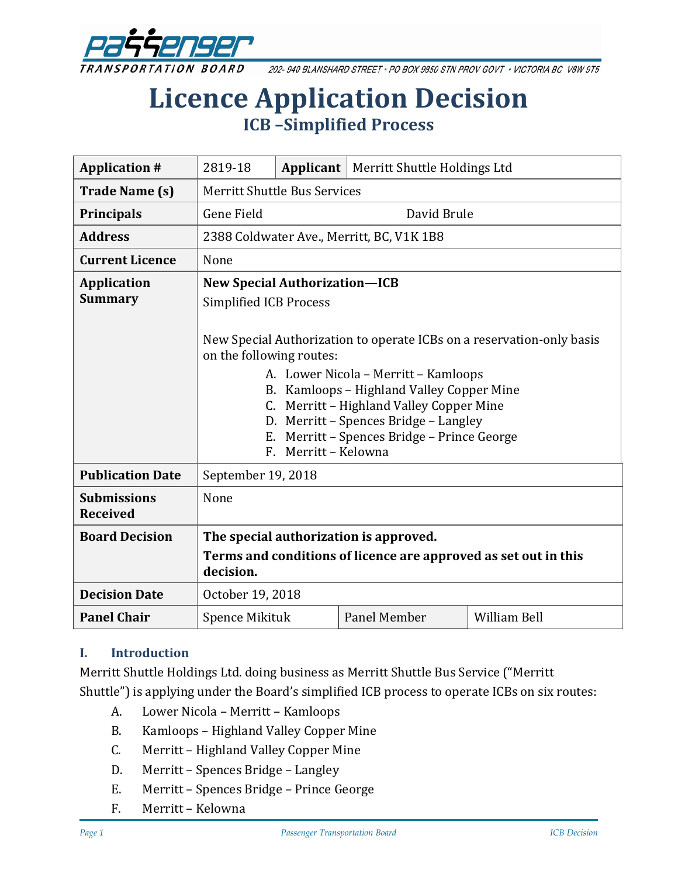

202-940 BLANSHARD STREET · PO BOX 9850 STN PROV GOVT · VICTORIA BC V8W 9T5

# **Licence Application Decision ICB –Simplified Process**

| <b>Application #</b>                  | 2819-18                                                                                                                                                                                                                                                                                                                                                                                                                    | Applicant | Merritt Shuttle Holdings Ltd |                     |
|---------------------------------------|----------------------------------------------------------------------------------------------------------------------------------------------------------------------------------------------------------------------------------------------------------------------------------------------------------------------------------------------------------------------------------------------------------------------------|-----------|------------------------------|---------------------|
| <b>Trade Name (s)</b>                 | <b>Merritt Shuttle Bus Services</b>                                                                                                                                                                                                                                                                                                                                                                                        |           |                              |                     |
| <b>Principals</b>                     | Gene Field<br>David Brule                                                                                                                                                                                                                                                                                                                                                                                                  |           |                              |                     |
| <b>Address</b>                        | 2388 Coldwater Ave., Merritt, BC, V1K 1B8                                                                                                                                                                                                                                                                                                                                                                                  |           |                              |                     |
| <b>Current Licence</b>                | None                                                                                                                                                                                                                                                                                                                                                                                                                       |           |                              |                     |
| <b>Application</b><br><b>Summary</b>  | <b>New Special Authorization-ICB</b><br>Simplified ICB Process<br>New Special Authorization to operate ICBs on a reservation-only basis<br>on the following routes:<br>A. Lower Nicola - Merritt - Kamloops<br>B. Kamloops - Highland Valley Copper Mine<br>Merritt - Highland Valley Copper Mine<br>C.<br>D. Merritt - Spences Bridge - Langley<br>Merritt - Spences Bridge - Prince George<br>Е.<br>F. Merritt - Kelowna |           |                              |                     |
| <b>Publication Date</b>               | September 19, 2018                                                                                                                                                                                                                                                                                                                                                                                                         |           |                              |                     |
| <b>Submissions</b><br><b>Received</b> | None                                                                                                                                                                                                                                                                                                                                                                                                                       |           |                              |                     |
| <b>Board Decision</b>                 | The special authorization is approved.                                                                                                                                                                                                                                                                                                                                                                                     |           |                              |                     |
|                                       | Terms and conditions of licence are approved as set out in this<br>decision.                                                                                                                                                                                                                                                                                                                                               |           |                              |                     |
| <b>Decision Date</b>                  | October 19, 2018                                                                                                                                                                                                                                                                                                                                                                                                           |           |                              |                     |
| <b>Panel Chair</b>                    | <b>Spence Mikituk</b>                                                                                                                                                                                                                                                                                                                                                                                                      |           | Panel Member                 | <b>William Bell</b> |

#### **I. Introduction**

Merritt Shuttle Holdings Ltd. doing business as Merritt Shuttle Bus Service ("Merritt Shuttle") is applying under the Board's simplified ICB process to operate ICBs on six routes:

- A. Lower Nicola Merritt Kamloops
- B. Kamloops Highland Valley Copper Mine
- C. Merritt Highland Valley Copper Mine
- D. Merritt Spences Bridge Langley
- E. Merritt Spences Bridge Prince George
- F. Merritt Kelowna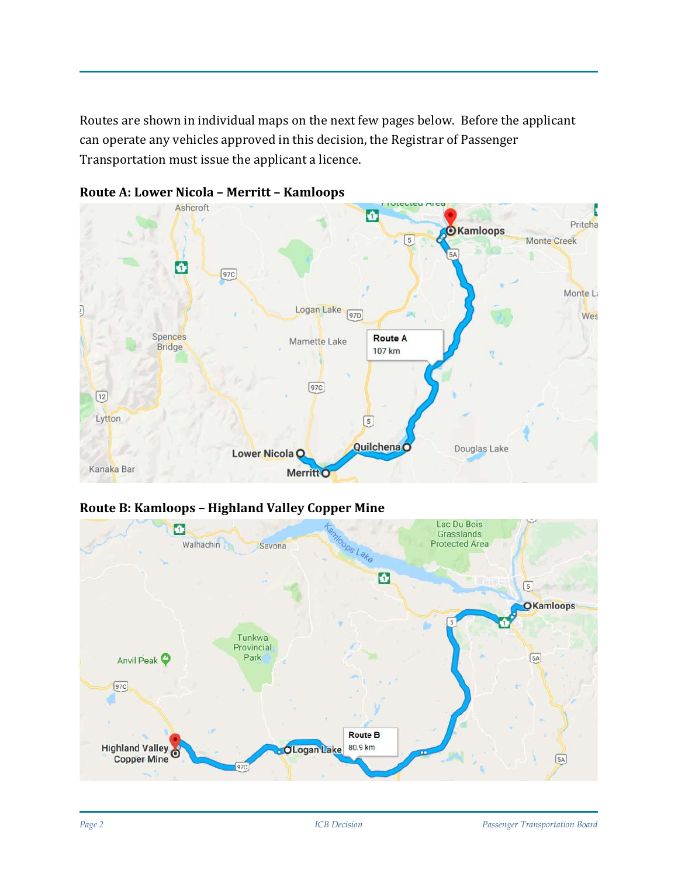Routes are shown in individual maps on the next few pages below. Before the applicant can operate any vehicles approved in this decision, the Registrar of Passenger Transportation must issue the applicant a licence.



#### **Route A: Lower Nicola – Merritt – Kamloops**

#### **Route B: Kamloops – Highland Valley Copper Mine**

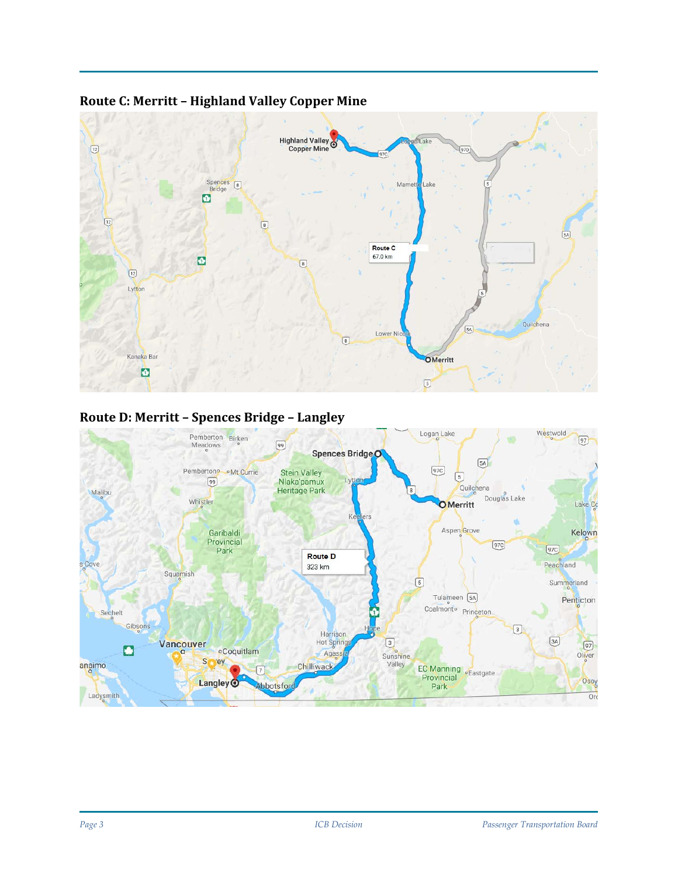

#### **Route C: Merritt – Highland Valley Copper Mine**

#### **Route D: Merritt – Spences Bridge – Langley**

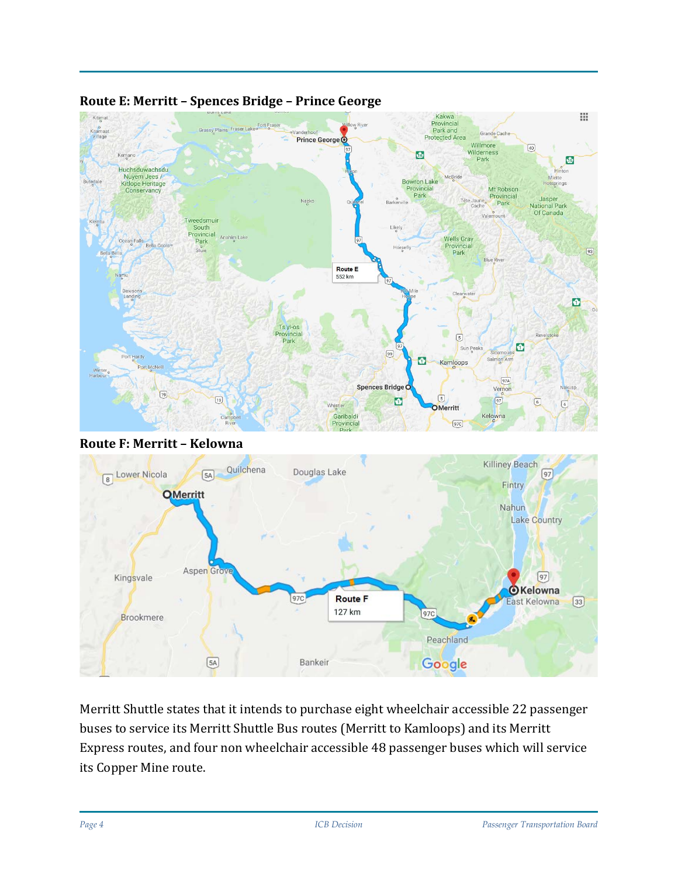

#### **Route E: Merritt – Spences Bridge – Prince George**





Merritt Shuttle states that it intends to purchase eight wheelchair accessible 22 passenger buses to service its Merritt Shuttle Bus routes (Merritt to Kamloops) and its Merritt Express routes, and four non wheelchair accessible 48 passenger buses which will service its Copper Mine route.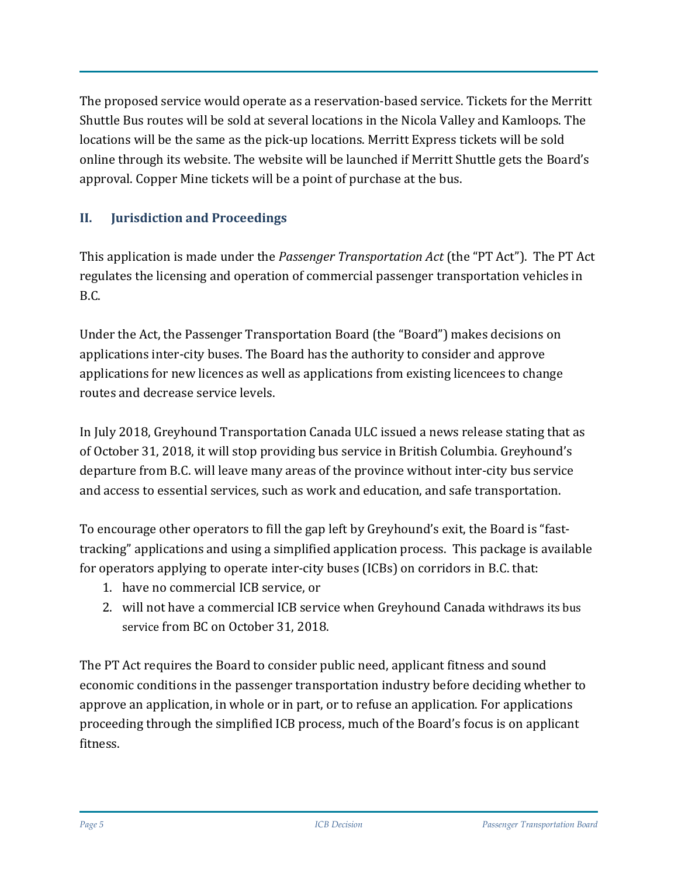The proposed service would operate as a reservation-based service. Tickets for the Merritt Shuttle Bus routes will be sold at several locations in the Nicola Valley and Kamloops. The locations will be the same as the pick-up locations. Merritt Express tickets will be sold online through its website. The website will be launched if Merritt Shuttle gets the Board's approval. Copper Mine tickets will be a point of purchase at the bus.

## **II. Jurisdiction and Proceedings**

This application is made under the *Passenger Transportation Act* (the "PT Act"). The PT Act regulates the licensing and operation of commercial passenger transportation vehicles in B.C.

Under the Act, the Passenger Transportation Board (the "Board") makes decisions on applications inter-city buses. The Board has the authority to consider and approve applications for new licences as well as applications from existing licencees to change routes and decrease service levels.

In July 2018, Greyhound Transportation Canada ULC issued a news release stating that as of October 31, 2018, it will stop providing bus service in British Columbia. Greyhound's departure from B.C. will leave many areas of the province without inter-city bus service and access to essential services, such as work and education, and safe transportation.

To encourage other operators to fill the gap left by Greyhound's exit, the Board is "fasttracking" applications and using a simplified application process. This package is available for operators applying to operate inter-city buses (ICBs) on corridors in B.C. that:

- 1. have no commercial ICB service, or
- 2. will not have a commercial ICB service when Greyhound Canada [withdraws its bus](https://www.newswire.ca/news-releases/greyhound-canada-to-downsize-its-canadian-business-based-on-a-41-decline-in-ridership-since-2010-687687091.html)  [service](https://www.newswire.ca/news-releases/greyhound-canada-to-downsize-its-canadian-business-based-on-a-41-decline-in-ridership-since-2010-687687091.html) from BC on October 31, 2018.

The PT Act requires the Board to consider public need, applicant fitness and sound economic conditions in the passenger transportation industry before deciding whether to approve an application, in whole or in part, or to refuse an application. For applications proceeding through the simplified ICB process, much of the Board's focus is on applicant fitness.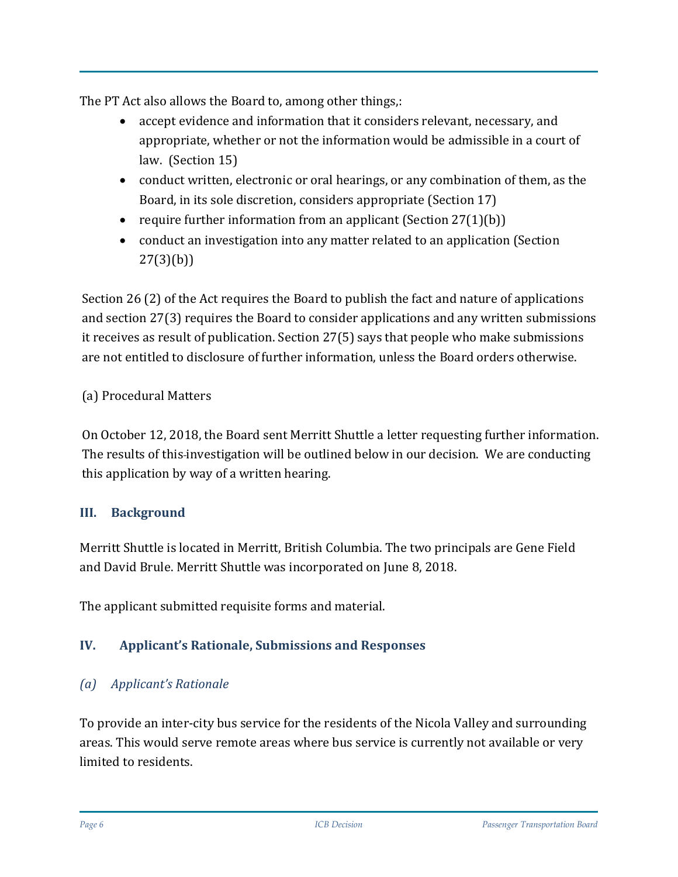The PT Act also allows the Board to, among other things,:

- accept evidence and information that it considers relevant, necessary, and appropriate, whether or not the information would be admissible in a court of law. (Section 15)
- conduct written, electronic or oral hearings, or any combination of them, as the Board, in its sole discretion, considers appropriate (Section 17)
- require further information from an applicant (Section  $27(1)(b)$ )
- conduct an investigation into any matter related to an application (Section 27(3)(b))

Section 26 (2) of the Act requires the Board to publish the fact and nature of applications and section 27(3) requires the Board to consider applications and any written submissions it receives as result of publication. Section 27(5) says that people who make submissions are not entitled to disclosure of further information, unless the Board orders otherwise.

## (a) Procedural Matters

On October 12, 2018, the Board sent Merritt Shuttle a letter requesting further information. The results of this-investigation will be outlined below in our decision. We are conducting this application by way of a written hearing.

## **III. Background**

Merritt Shuttle is located in Merritt, British Columbia. The two principals are Gene Field and David Brule. Merritt Shuttle was incorporated on June 8, 2018.

The applicant submitted requisite forms and material.

## **IV. Applicant's Rationale, Submissions and Responses**

## *(a) Applicant's Rationale*

To provide an inter-city bus service for the residents of the Nicola Valley and surrounding areas. This would serve remote areas where bus service is currently not available or very limited to residents.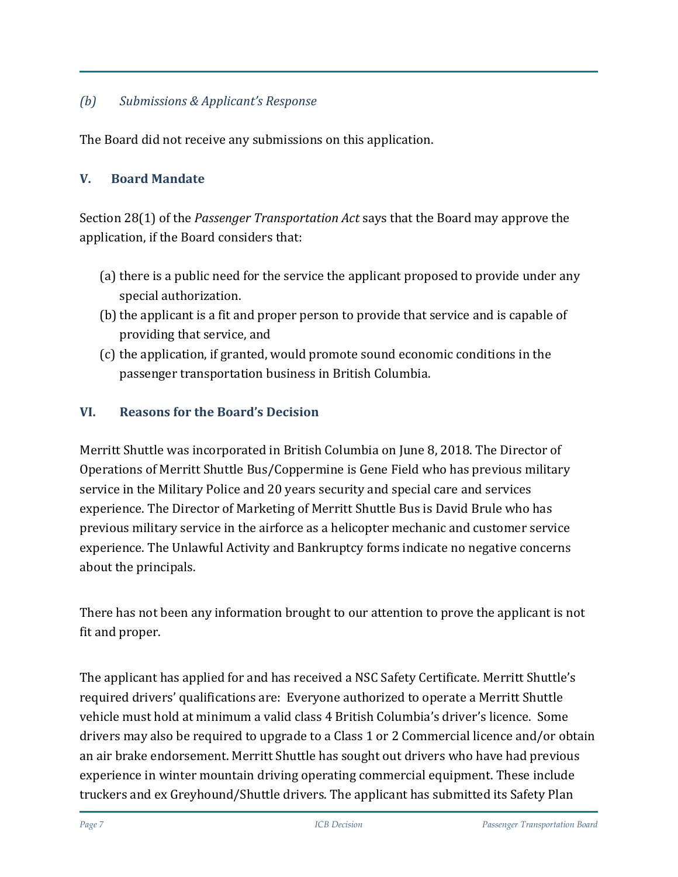#### *(b) Submissions & Applicant's Response*

The Board did not receive any submissions on this application.

#### **V. Board Mandate**

Section 28(1) of the *Passenger Transportation Act* says that the Board may approve the application, if the Board considers that:

- (a) there is a public need for the service the applicant proposed to provide under any special authorization.
- (b) the applicant is a fit and proper person to provide that service and is capable of providing that service, and
- (c) the application, if granted, would promote sound economic conditions in the passenger transportation business in British Columbia.

#### **VI. Reasons for the Board's Decision**

Merritt Shuttle was incorporated in British Columbia on June 8, 2018. The Director of Operations of Merritt Shuttle Bus/Coppermine is Gene Field who has previous military service in the Military Police and 20 years security and special care and services experience. The Director of Marketing of Merritt Shuttle Bus is David Brule who has previous military service in the airforce as a helicopter mechanic and customer service experience. The Unlawful Activity and Bankruptcy forms indicate no negative concerns about the principals.

There has not been any information brought to our attention to prove the applicant is not fit and proper.

The applicant has applied for and has received a NSC Safety Certificate. Merritt Shuttle's required drivers' qualifications are: Everyone authorized to operate a Merritt Shuttle vehicle must hold at minimum a valid class 4 British Columbia's driver's licence. Some drivers may also be required to upgrade to a Class 1 or 2 Commercial licence and/or obtain an air brake endorsement. Merritt Shuttle has sought out drivers who have had previous experience in winter mountain driving operating commercial equipment. These include truckers and ex Greyhound/Shuttle drivers. The applicant has submitted its Safety Plan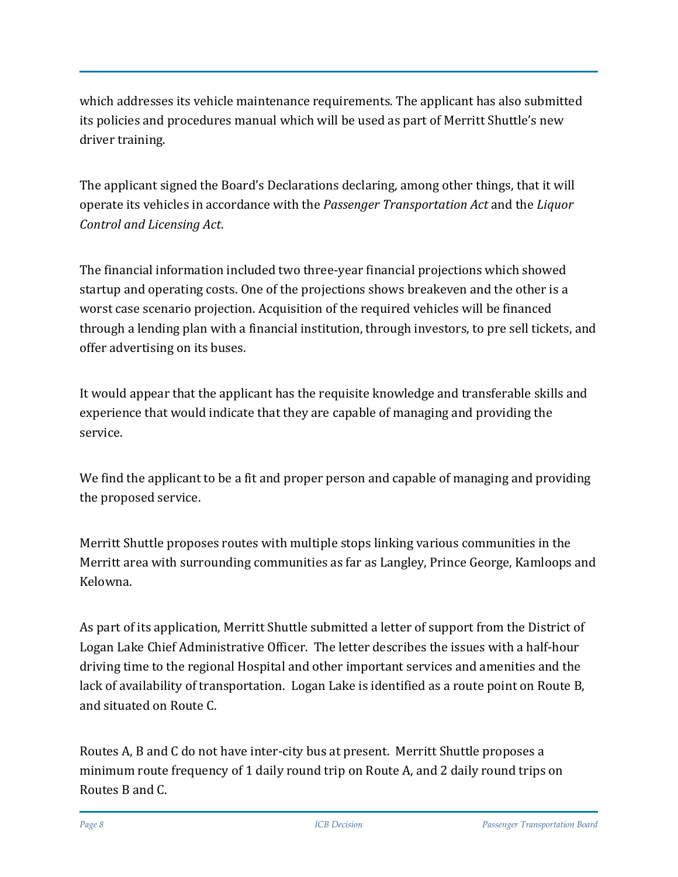which addresses its vehicle maintenance requirements. The applicant has also submitted its policies and procedures manual which will be used as part of Merritt Shuttle's new driver training.

The applicant signed the Board's Declarations declaring, among other things, that it will operate its vehicles in accordance with the *Passenger Transportation Act* and the *Liquor Control and Licensing Act*.

The financial information included two three-year financial projections which showed startup and operating costs. One of the projections shows breakeven and the other is a worst case scenario projection. Acquisition of the required vehicles will be financed through a lending plan with a financial institution, through investors, to pre sell tickets, and offer advertising on its buses.

It would appear that the applicant has the requisite knowledge and transferable skills and experience that would indicate that they are capable of managing and providing the service.

We find the applicant to be a fit and proper person and capable of managing and providing the proposed service.

Merritt Shuttle proposes routes with multiple stops linking various communities in the Merritt area with surrounding communities as far as Langley, Prince George, Kamloops and Kelowna.

As part of its application, Merritt Shuttle submitted a letter of support from the District of Logan Lake Chief Administrative Officer. The letter describes the issues with a half-hour driving time to the regional Hospital and other important services and amenities and the lack of availability of transportation. Logan Lake is identified as a route point on Route B, and situated on Route C.

Routes A, B and C do not have inter-city bus at present. Merritt Shuttle proposes a minimum route frequency of 1 daily round trip on Route A, and 2 daily round trips on Routes B and C.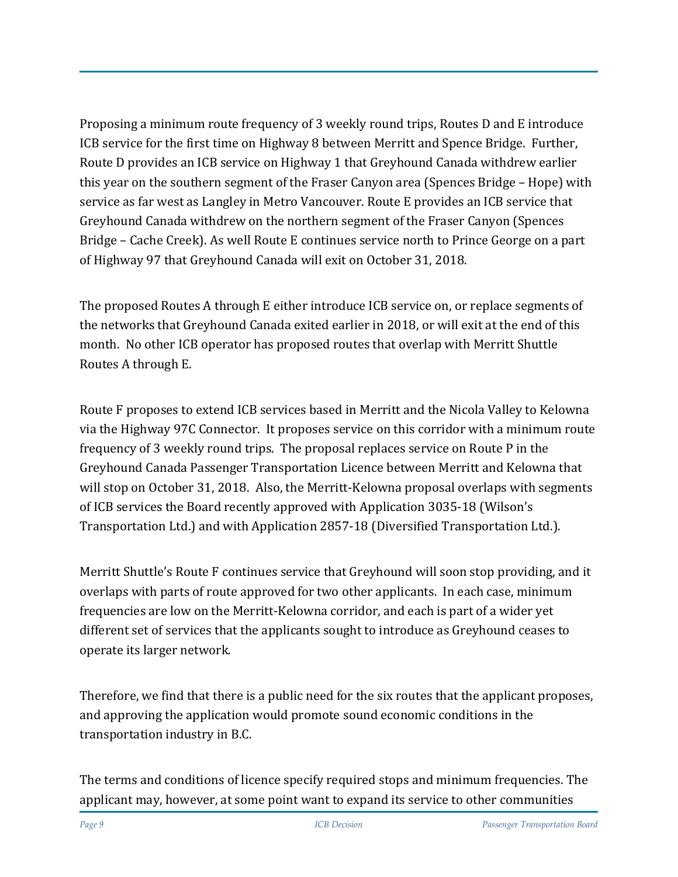Proposing a minimum route frequency of 3 weekly round trips, Routes D and E introduce ICB service for the first time on Highway 8 between Merritt and Spence Bridge. Further, Route D provides an ICB service on Highway 1 that Greyhound Canada withdrew earlier this year on the southern segment of the Fraser Canyon area (Spences Bridge – Hope) with service as far west as Langley in Metro Vancouver. Route E provides an ICB service that Greyhound Canada withdrew on the northern segment of the Fraser Canyon (Spences Bridge – Cache Creek). As well Route E continues service north to Prince George on a part of Highway 97 that Greyhound Canada will exit on October 31, 2018.

The proposed Routes A through E either introduce ICB service on, or replace segments of the networks that Greyhound Canada exited earlier in 2018, or will exit at the end of this month. No other ICB operator has proposed routes that overlap with Merritt Shuttle Routes A through E.

Route F proposes to extend ICB services based in Merritt and the Nicola Valley to Kelowna via the Highway 97C Connector. It proposes service on this corridor with a minimum route frequency of 3 weekly round trips. The proposal replaces service on Route P in the Greyhound Canada Passenger Transportation Licence between Merritt and Kelowna that will stop on October 31, 2018. Also, the Merritt-Kelowna proposal overlaps with segments of ICB services the Board recently approved with Application 3035-18 (Wilson's Transportation Ltd.) and with Application 2857-18 (Diversified Transportation Ltd.).

Merritt Shuttle's Route F continues service that Greyhound will soon stop providing, and it overlaps with parts of route approved for two other applicants. In each case, minimum frequencies are low on the Merritt-Kelowna corridor, and each is part of a wider yet different set of services that the applicants sought to introduce as Greyhound ceases to operate its larger network.

Therefore, we find that there is a public need for the six routes that the applicant proposes, and approving the application would promote sound economic conditions in the transportation industry in B.C.

The terms and conditions of licence specify required stops and minimum frequencies. The applicant may, however, at some point want to expand its service to other communities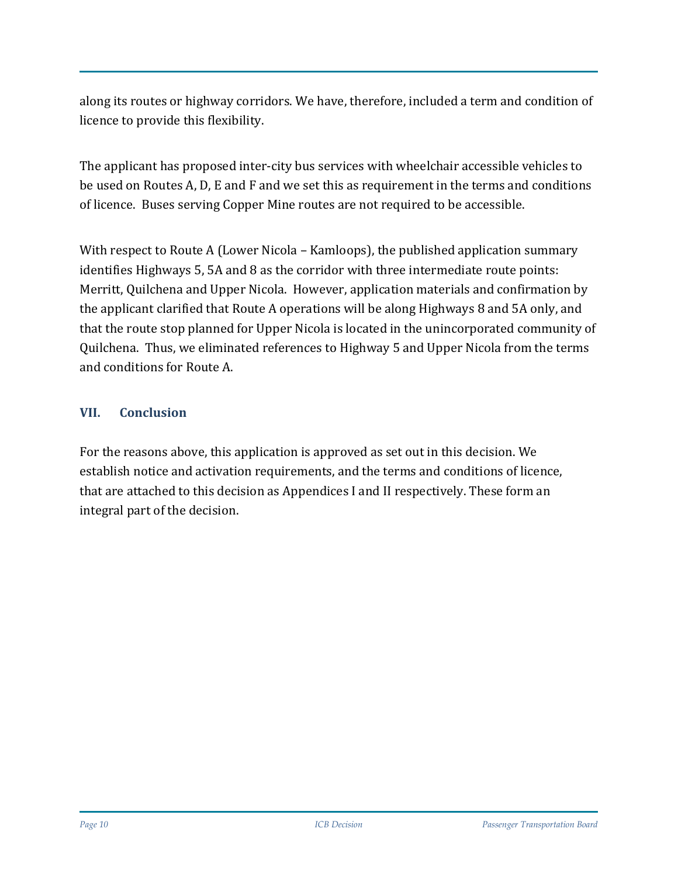along its routes or highway corridors. We have, therefore, included a term and condition of licence to provide this flexibility.

The applicant has proposed inter-city bus services with wheelchair accessible vehicles to be used on Routes A, D, E and F and we set this as requirement in the terms and conditions of licence. Buses serving Copper Mine routes are not required to be accessible.

With respect to Route A (Lower Nicola – Kamloops), the published application summary identifies Highways 5, 5A and 8 as the corridor with three intermediate route points: Merritt, Quilchena and Upper Nicola. However, application materials and confirmation by the applicant clarified that Route A operations will be along Highways 8 and 5A only, and that the route stop planned for Upper Nicola is located in the unincorporated community of Quilchena. Thus, we eliminated references to Highway 5 and Upper Nicola from the terms and conditions for Route A.

#### **VII. Conclusion**

For the reasons above, this application is approved as set out in this decision. We establish notice and activation requirements, and the terms and conditions of licence, that are attached to this decision as Appendices I and II respectively. These form an integral part of the decision.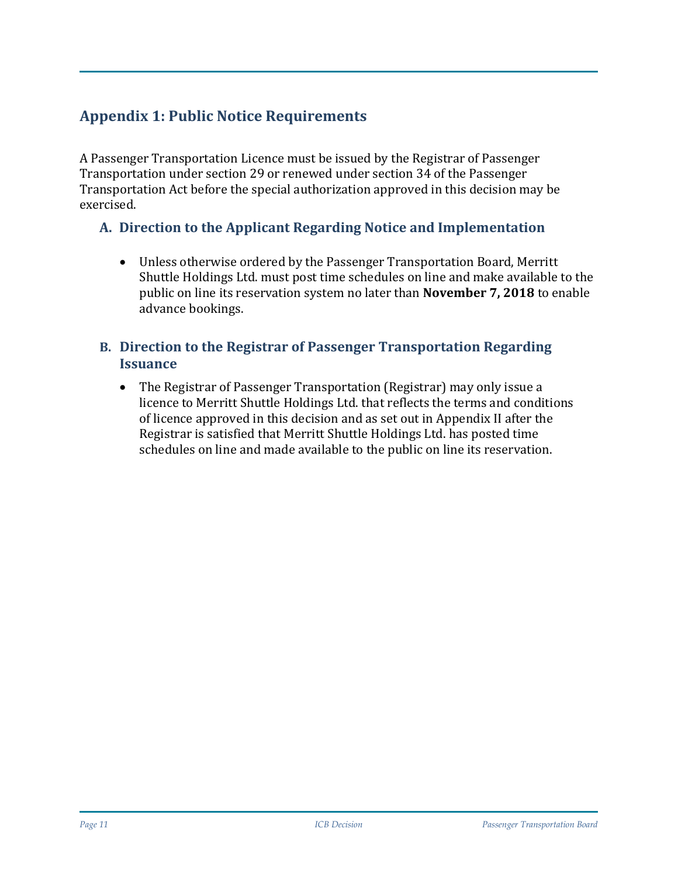## **Appendix 1: Public Notice Requirements**

A Passenger Transportation Licence must be issued by the Registrar of Passenger Transportation under section 29 or renewed under section 34 of the Passenger Transportation Act before the special authorization approved in this decision may be exercised.

## **A. Direction to the Applicant Regarding Notice and Implementation**

• Unless otherwise ordered by the Passenger Transportation Board, Merritt Shuttle Holdings Ltd. must post time schedules on line and make available to the public on line its reservation system no later than **November 7, 2018** to enable advance bookings.

#### **B. Direction to the Registrar of Passenger Transportation Regarding Issuance**

• The Registrar of Passenger Transportation (Registrar) may only issue a licence to Merritt Shuttle Holdings Ltd. that reflects the terms and conditions of licence approved in this decision and as set out in Appendix II after the Registrar is satisfied that Merritt Shuttle Holdings Ltd. has posted time schedules on line and made available to the public on line its reservation.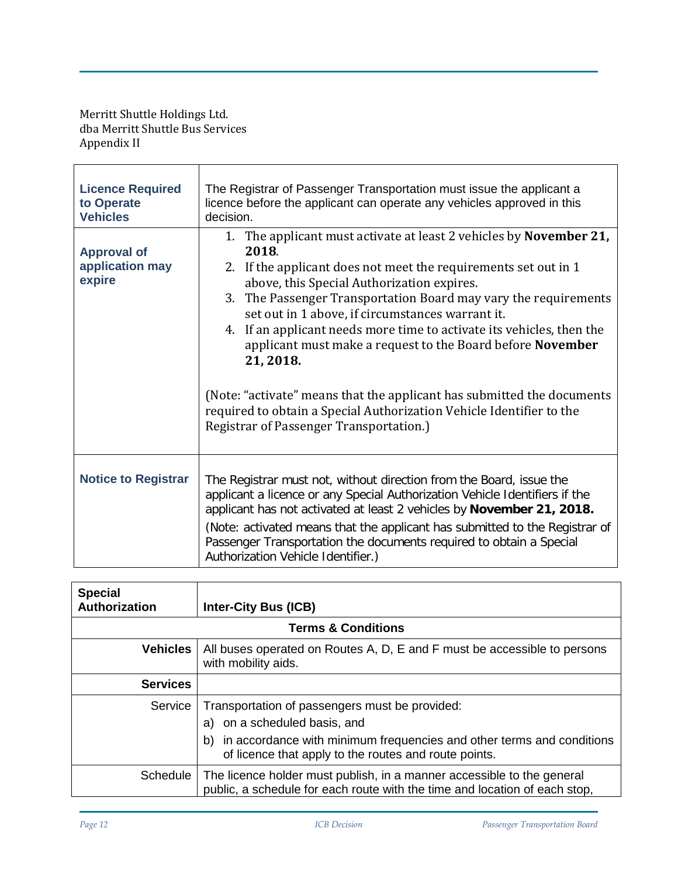Merritt Shuttle Holdings Ltd. dba Merritt Shuttle Bus Services Appendix II

| <b>Licence Required</b><br>to Operate<br><b>Vehicles</b><br><b>Approval of</b> | The Registrar of Passenger Transportation must issue the applicant a<br>licence before the applicant can operate any vehicles approved in this<br>decision.<br>1. The applicant must activate at least 2 vehicles by <b>November 21</b> ,<br>2018.                                                                                                                                                                      |  |  |
|--------------------------------------------------------------------------------|-------------------------------------------------------------------------------------------------------------------------------------------------------------------------------------------------------------------------------------------------------------------------------------------------------------------------------------------------------------------------------------------------------------------------|--|--|
| application may<br>expire                                                      | 2. If the applicant does not meet the requirements set out in 1<br>above, this Special Authorization expires.<br>3. The Passenger Transportation Board may vary the requirements<br>set out in 1 above, if circumstances warrant it.<br>4. If an applicant needs more time to activate its vehicles, then the<br>applicant must make a request to the Board before November<br>21, 2018.                                |  |  |
|                                                                                | (Note: "activate" means that the applicant has submitted the documents<br>required to obtain a Special Authorization Vehicle Identifier to the<br><b>Registrar of Passenger Transportation.)</b>                                                                                                                                                                                                                        |  |  |
| <b>Notice to Registrar</b>                                                     | The Registrar must not, without direction from the Board, issue the<br>applicant a licence or any Special Authorization Vehicle Identifiers if the<br>applicant has not activated at least 2 vehicles by November 21, 2018.<br>(Note: activated means that the applicant has submitted to the Registrar of<br>Passenger Transportation the documents required to obtain a Special<br>Authorization Vehicle Identifier.) |  |  |

| <b>Special</b><br><b>Authorization</b> | <b>Inter-City Bus (ICB)</b>                                                                                                                                                                                            |  |  |  |
|----------------------------------------|------------------------------------------------------------------------------------------------------------------------------------------------------------------------------------------------------------------------|--|--|--|
| <b>Terms &amp; Conditions</b>          |                                                                                                                                                                                                                        |  |  |  |
| Vehicles                               | All buses operated on Routes A, D, E and F must be accessible to persons<br>with mobility aids.                                                                                                                        |  |  |  |
| <b>Services</b>                        |                                                                                                                                                                                                                        |  |  |  |
| Service                                | Transportation of passengers must be provided:<br>a) on a scheduled basis, and<br>in accordance with minimum frequencies and other terms and conditions<br>b)<br>of licence that apply to the routes and route points. |  |  |  |
|                                        | Schedule   The licence holder must publish, in a manner accessible to the general<br>public, a schedule for each route with the time and location of each stop,                                                        |  |  |  |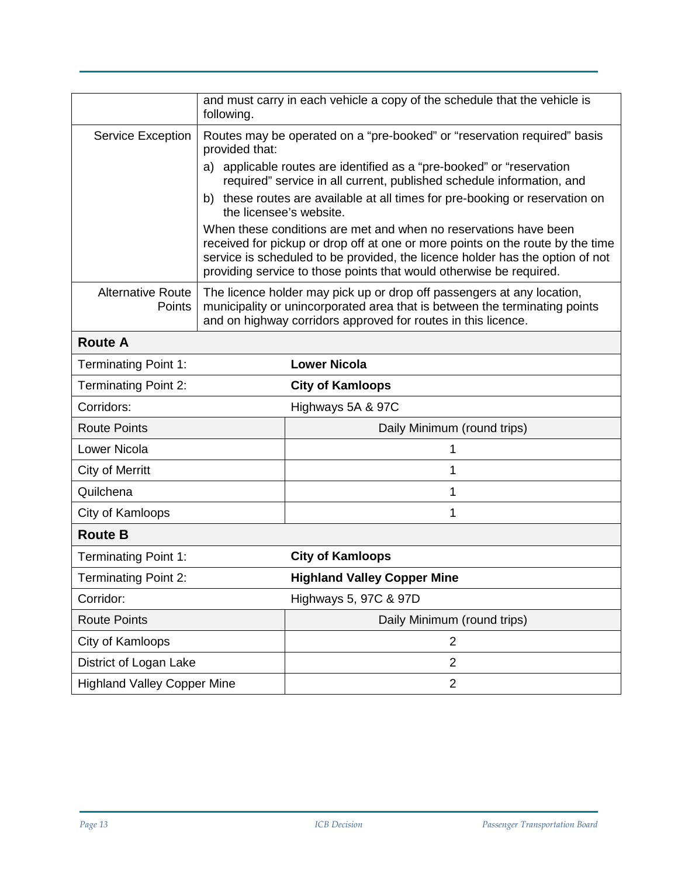|                                    | following.                                                                                                                                                                                                            | and must carry in each vehicle a copy of the schedule that the vehicle is                                                                                                                                                                                                                                  |  |
|------------------------------------|-----------------------------------------------------------------------------------------------------------------------------------------------------------------------------------------------------------------------|------------------------------------------------------------------------------------------------------------------------------------------------------------------------------------------------------------------------------------------------------------------------------------------------------------|--|
| Service Exception                  | Routes may be operated on a "pre-booked" or "reservation required" basis<br>provided that:                                                                                                                            |                                                                                                                                                                                                                                                                                                            |  |
|                                    | a) applicable routes are identified as a "pre-booked" or "reservation<br>required" service in all current, published schedule information, and                                                                        |                                                                                                                                                                                                                                                                                                            |  |
|                                    | b) these routes are available at all times for pre-booking or reservation on<br>the licensee's website.                                                                                                               |                                                                                                                                                                                                                                                                                                            |  |
|                                    |                                                                                                                                                                                                                       | When these conditions are met and when no reservations have been<br>received for pickup or drop off at one or more points on the route by the time<br>service is scheduled to be provided, the licence holder has the option of not<br>providing service to those points that would otherwise be required. |  |
| <b>Alternative Route</b><br>Points | The licence holder may pick up or drop off passengers at any location,<br>municipality or unincorporated area that is between the terminating points<br>and on highway corridors approved for routes in this licence. |                                                                                                                                                                                                                                                                                                            |  |
| <b>Route A</b>                     |                                                                                                                                                                                                                       |                                                                                                                                                                                                                                                                                                            |  |
| <b>Terminating Point 1:</b>        |                                                                                                                                                                                                                       | <b>Lower Nicola</b>                                                                                                                                                                                                                                                                                        |  |
| <b>Terminating Point 2:</b>        |                                                                                                                                                                                                                       | <b>City of Kamloops</b>                                                                                                                                                                                                                                                                                    |  |
| Corridors:                         |                                                                                                                                                                                                                       | Highways 5A & 97C                                                                                                                                                                                                                                                                                          |  |
| <b>Route Points</b>                |                                                                                                                                                                                                                       | Daily Minimum (round trips)                                                                                                                                                                                                                                                                                |  |
| <b>Lower Nicola</b>                |                                                                                                                                                                                                                       | 1                                                                                                                                                                                                                                                                                                          |  |
| <b>City of Merritt</b>             |                                                                                                                                                                                                                       | 1                                                                                                                                                                                                                                                                                                          |  |
| Quilchena                          |                                                                                                                                                                                                                       | 1                                                                                                                                                                                                                                                                                                          |  |
| City of Kamloops                   |                                                                                                                                                                                                                       | 1                                                                                                                                                                                                                                                                                                          |  |
| <b>Route B</b>                     |                                                                                                                                                                                                                       |                                                                                                                                                                                                                                                                                                            |  |
| <b>Terminating Point 1:</b>        |                                                                                                                                                                                                                       | <b>City of Kamloops</b>                                                                                                                                                                                                                                                                                    |  |
| <b>Terminating Point 2:</b>        |                                                                                                                                                                                                                       | <b>Highland Valley Copper Mine</b>                                                                                                                                                                                                                                                                         |  |
| Corridor:                          |                                                                                                                                                                                                                       | Highways 5, 97C & 97D                                                                                                                                                                                                                                                                                      |  |
| <b>Route Points</b>                |                                                                                                                                                                                                                       | Daily Minimum (round trips)                                                                                                                                                                                                                                                                                |  |
| City of Kamloops                   |                                                                                                                                                                                                                       | $\overline{2}$                                                                                                                                                                                                                                                                                             |  |
| District of Logan Lake             |                                                                                                                                                                                                                       | $\overline{2}$                                                                                                                                                                                                                                                                                             |  |
| <b>Highland Valley Copper Mine</b> |                                                                                                                                                                                                                       | $\overline{2}$                                                                                                                                                                                                                                                                                             |  |